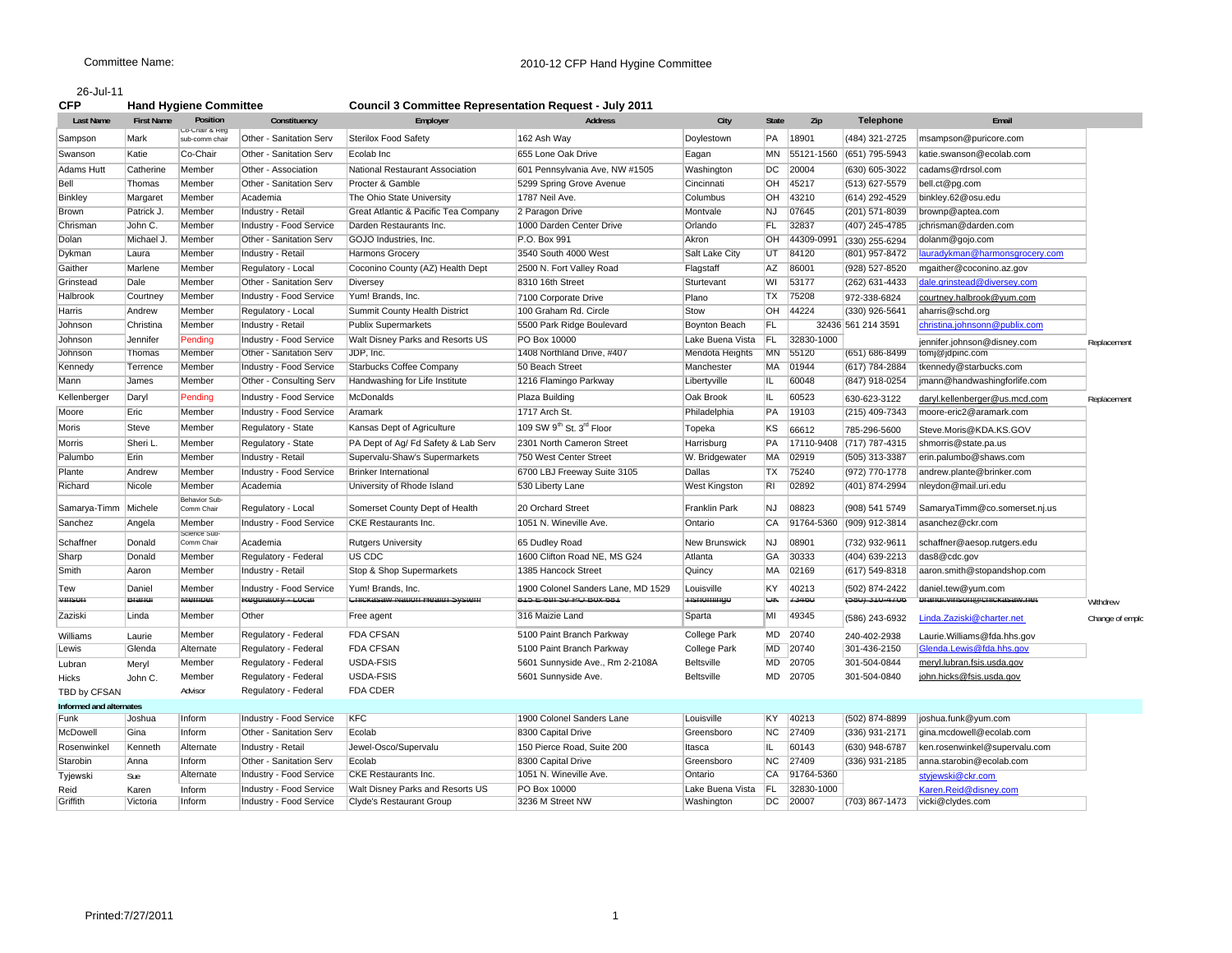## 26-Jul-11

| CFP | <b>Hand Hygiene Committee</b> | <b>Council 3 Committee Representation Request - July 2011</b> |  |
|-----|-------------------------------|---------------------------------------------------------------|--|

| <b>Last Name</b>        | <b>First Name</b> | Position                         | Constituency                   | Employer                             | <b>Address</b>                     | City              | <b>State</b>   | Zip        | <b>Telephone</b>          | Email                          |                 |
|-------------------------|-------------------|----------------------------------|--------------------------------|--------------------------------------|------------------------------------|-------------------|----------------|------------|---------------------------|--------------------------------|-----------------|
| Sampson                 | Mark              | Co-Chair & Reg<br>sub-comm chair | Other - Sanitation Serv        | <b>Sterilox Food Safety</b>          | 162 Ash Way                        | Doylestown        | PA             | 18901      | (484) 321-2725            | msampson@puricore.com          |                 |
| Swanson                 | Katie             | Co-Chair                         | Other - Sanitation Serv        | Ecolab Inc                           | 655 Lone Oak Drive                 | Eagan             | MN             | 55121-1560 | (651) 795-5943            | katie.swanson@ecolab.com       |                 |
| <b>Adams Hutt</b>       | Catherine         | Member                           | Other - Association            | National Restaurant Association      | 601 Pennsylvania Ave, NW #1505     | Washington        | DC             | 20004      | (630) 605-3022            | cadams@rdrsol.com              |                 |
| Bell                    | Thomas            | Member                           | Other - Sanitation Serv        | Procter & Gamble                     | 5299 Spring Grove Avenue           | Cincinnati        | OH             | 45217      | (513) 627-5579            | bell.ct@pq.com                 |                 |
| <b>Binkley</b>          | Margaret          | Member                           | Academia                       | The Ohio State University            | 1787 Neil Ave.                     | Columbus          | OH             | 43210      | (614) 292-4529            | binkley.62@osu.edu             |                 |
| Brown                   | Patrick J.        | Member                           | Industry - Retail              | Great Atlantic & Pacific Tea Company | 2 Paragon Drive                    | Montvale          | NJ             | 07645      | (201) 571-8039            | brownp@aptea.com               |                 |
| Chrisman                | John C.           | Member                           | Industry - Food Service        | Darden Restaurants Inc.              | 1000 Darden Center Drive           | Orlando           | FL.            | 32837      | (407) 245-4785            | jchrisman@darden.com           |                 |
| Dolan                   | Michael J.        | Member                           | Other - Sanitation Serv        | GOJO Industries, Inc.                | P.O. Box 991                       | Akron             | OH             | 44309-099  | (330) 255-6294            | dolanm@gojo.com                |                 |
| Dykman                  | Laura             | Member                           | Industry - Retail              | Harmons Grocery                      | 3540 South 4000 West               | Salt Lake City    | UT             | 84120      | (801) 957-8472            | lauradykman@harmonsgrocery.com |                 |
| Gaither                 | Marlene           | Member                           | Regulatory - Local             | Coconino County (AZ) Health Dept     | 2500 N. Fort Valley Road           | Flagstaff         | AZ             | 86001      | (928) 527-8520            | mgaither@coconino.az.gov       |                 |
| Grinstead               | Dale              | Member                           | Other - Sanitation Serv        | Diversey                             | 8310 16th Street                   | Sturtevant        | WI             | 53177      | (262) 631-4433            | dale.grinstead@diversey.com    |                 |
| Halbrook                | Courtney          | Member                           | Industry - Food Service        | Yum! Brands, Inc.                    | 7100 Corporate Drive               | Plano             | <b>TX</b>      | 75208      | 972-338-6824              | courtney.halbrook@yum.com      |                 |
| Harris                  | Andrew            | Member                           | Regulatory - Local             | Summit County Health District        | 100 Graham Rd. Circle              | Stow              | OH             | 44224      | (330) 926-5641            | aharris@schd.org               |                 |
| Johnson                 | Christina         | Member                           | Industry - Retail              | <b>Publix Supermarkets</b>           | 5500 Park Ridge Boulevard          | Boynton Beach     | FL             |            | 32436 561 214 3591        | christina.johnsonn@publix.com  |                 |
| Johnson                 | Jennifer          | Pending                          | Industry - Food Service        | Walt Disney Parks and Resorts US     | PO Box 10000                       | Lake Buena Vista  | FL             | 32830-1000 |                           | jennifer.johnson@disney.com    | Replacement     |
| Johnson                 | Thomas            | Member                           | Other - Sanitation Serv        | JDP, Inc.                            | 1408 Northland Drive, #407         | Mendota Heights   | <b>MN</b>      | 55120      | (651) 686-8499            | tomj@jdpinc.com                |                 |
| Kennedy                 | Terrence          | Member                           | Industry - Food Service        | <b>Starbucks Coffee Company</b>      | 50 Beach Street                    | Manchester        | <b>MA</b>      | 01944      | (617) 784-2884            | tkennedy@starbucks.com         |                 |
| Mann                    | James             | Member                           | Other - Consulting Serv        | Handwashing for Life Institute       | 1216 Flamingo Parkway              | Libertyville      | IL.            | 60048      | (847) 918-0254            | jmann@handwashingforlife.com   |                 |
| Kellenberger            | Daryl             | Pending                          | Industry - Food Service        | McDonalds                            | Plaza Building                     | Oak Brook         | IL             | 60523      | 630-623-3122              | daryl.kellenberger@us.mcd.com  | Replacement     |
| Moore                   | Eric              | Member                           | Industry - Food Service        | Aramark                              | 1717 Arch St.                      | Philadelphia      | PA             | 19103      | (215) 409-7343            | moore-eric2@aramark.com        |                 |
| Moris                   | Steve             | Member                           | Regulatory - State             | Kansas Dept of Agriculture           | 109 SW 9th St. 3rd Floor           | Topeka            | KS             | 66612      | 785-296-5600              | Steve.Moris@KDA.KS.GOV         |                 |
| <b>Morris</b>           | Sheri L           | Member                           | Regulatory - State             | PA Dept of Aq/ Fd Safety & Lab Serv  | 2301 North Cameron Street          | Harrisburg        | PA             | 17110-9408 | (717) 787-4315            | shmorris@state.pa.us           |                 |
| Palumbo                 | Erin              | Member                           | Industry - Retail              | Supervalu-Shaw's Supermarkets        | 750 West Center Street             | W. Bridgewater    | MA             | 02919      | (505) 313-3387            | erin.palumbo@shaws.com         |                 |
| Plante                  | Andrew            | Member                           | Industry - Food Service        | <b>Brinker International</b>         | 6700 LBJ Freeway Suite 3105        | Dallas            | TX             | 75240      | (972) 770-1778            | andrew.plante@brinker.com      |                 |
| Richard                 | Nicole            | Member                           | Academia                       | University of Rhode Island           | 530 Liberty Lane                   | West Kingston     | R <sub>1</sub> | 02892      | (401) 874-2994            | nleydon@mail.uri.edu           |                 |
|                         |                   | <b>Behavior Sub</b>              |                                |                                      |                                    |                   |                |            |                           |                                |                 |
| Samarya-Timm            | Michele           | Comm Chair                       | Regulatory - Local             | Somerset County Dept of Health       | 20 Orchard Street                  | Franklin Park     | NJ             | 08823      | (908) 541 5749            | SamaryaTimm@co.somerset.nj.us  |                 |
| Sanchez                 | Angela            | Member<br>Science Sub            | Industry - Food Service        | CKE Restaurants Inc.                 | 1051 N. Wineville Ave.             | Ontario           | CA             | 91764-5360 | (909) 912-3814            | asanchez@ckr.com               |                 |
| Schaffner               | Donald            | Comm Chair                       | Academia                       | <b>Rutgers University</b>            | 65 Dudley Road                     | New Brunswick     | <b>NJ</b>      | 08901      | (732) 932-9611            | schaffner@aesop.rutgers.edu    |                 |
| Sharp                   | Donald            | Member                           | Regulatory - Federal           | US CDC                               | 1600 Clifton Road NE, MS G24       | Atlanta           | GA             | 30333      | (404) 639-2213            | das8@cdc.gov                   |                 |
| Smith                   | Aaron             | Member                           | Industry - Retail              | Stop & Shop Supermarkets             | 1385 Hancock Street                | Quincy            | MA             | 02169      | (617) 549-8318            | aaron.smith@stopandshop.com    |                 |
| Tew                     | Daniel            | Member                           | Industry - Food Service        | Yum! Brands, Inc.                    | 1900 Colonel Sanders Lane, MD 1529 | Louisville        | KY             | 40213      | (502) 874-2422            | daniel.tew@yum.com             |                 |
| vinson                  | <b>Brandl</b>     | <b>Member</b>                    | <b>Regulatory - Local</b>      | Unickasaw Nation Health System       | 1819 E 6th St PU BOX 681           | Hisnomingo        | <b>UK</b>      | 13400      | <del>(580) 310-4706</del> | prangl.vinson@cnickasaw.net    | Withdrew        |
| Zaziski                 | Linda             | Member                           | Other                          | Free agent                           | 316 Maizie Land                    | Sparta            | MI             | 49345      | (586) 243-6932            | Linda.Zaziski@charter.net      | Change of emplo |
| Williams                | Laurie            | Member                           | Regulatory - Federal           | <b>FDA CFSAN</b>                     | 5100 Paint Branch Parkway          | College Park      | MD             | 20740      | 240-402-2938              | Laurie.Williams@fda.hhs.gov    |                 |
| Lewis                   | Glenda            | Alternate                        | Regulatory - Federal           | <b>FDA CFSAN</b>                     | 5100 Paint Branch Parkway          | College Park      | MD             | 20740      | 301-436-2150              | Glenda.Lewis@fda.hhs.gov       |                 |
| Lubran                  | Meryl             | Member                           | Regulatory - Federal           | USDA-FSIS                            | 5601 Sunnyside Ave., Rm 2-2108A    | <b>Beltsville</b> | MD             | 20705      | 301-504-0844              | meryl.lubran.fsis.usda.gov     |                 |
| Hicks                   | John C.           | Member                           | Regulatory - Federal           | USDA-FSIS                            | 5601 Sunnyside Ave.                | Beltsville        |                | MD 20705   | 301-504-0840              | john.hicks@fsis.usda.gov       |                 |
| TBD by CFSAN            |                   | Advisor                          | Regulatory - Federal           | <b>FDA CDER</b>                      |                                    |                   |                |            |                           |                                |                 |
| Informed and alternates |                   |                                  |                                |                                      |                                    |                   |                |            |                           |                                |                 |
| Funk                    | Joshua            | Inform                           | Industry - Food Service        | <b>KFC</b>                           | 1900 Colonel Sanders Lane          | Louisville        | KY             | 40213      | (502) 874-8899            | joshua.funk@yum.com            |                 |
| McDowell                | Gina              | Inform                           | Other - Sanitation Serv        | Ecolab                               | 8300 Capital Drive                 | Greensboro        | NC             | 27409      | (336) 931-2171            | gina.mcdowell@ecolab.com       |                 |
| Rosenwinkel             | Kenneth           | Alternate                        | Industry - Retail              | Jewel-Osco/Supervalu                 | 150 Pierce Road, Suite 200         | Itasca            | IL.            | 60143      | (630) 948-6787            | ken.rosenwinkel@supervalu.com  |                 |
| Starobin                | Anna              | Inform                           | Other - Sanitation Serv        | Ecolab                               | 8300 Capital Drive                 | Greensboro        | NC             | 27409      | (336) 931-2185            | anna.starobin@ecolab.com       |                 |
| Tyjewski                | Sue               | Alternate                        | <b>Industry - Food Service</b> | <b>CKE Restaurants Inc.</b>          | 1051 N. Wineville Ave.             | Ontario           | CA             | 91764-5360 |                           | stviewski@ckr.com              |                 |
| Reid                    | Karen             | Inform                           | Industry - Food Service        | Walt Disney Parks and Resorts US     | PO Box 10000                       | Lake Buena Vista  | FL.            | 32830-1000 |                           | Karen.Reid@disnev.com          |                 |
| Griffith                | Victoria          | Inform                           | Industry - Food Service        | Clyde's Restaurant Group             | 3236 M Street NW                   | Washington        | DC             | 20007      | (703) 867-1473            | vicki@clydes.com               |                 |